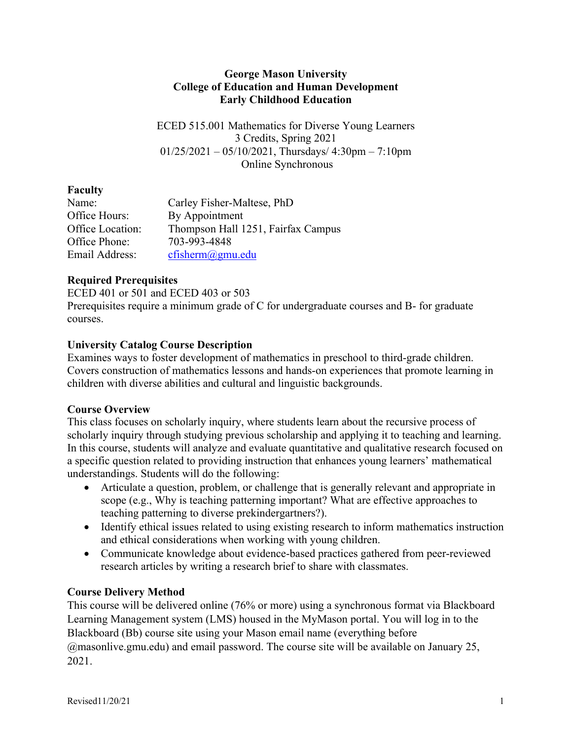#### **George Mason University College of Education and Human Development Early Childhood Education**

ECED 515.001 Mathematics for Diverse Young Learners 3 Credits, Spring 2021  $01/25/2021 - 05/10/2021$ , Thursdays/ 4:30pm – 7:10pm Online Synchronous

# **Faculty**

| Name:            | Carley Fisher-Maltese, PhD         |
|------------------|------------------------------------|
| Office Hours:    | By Appointment                     |
| Office Location: | Thompson Hall 1251, Fairfax Campus |
| Office Phone:    | 703-993-4848                       |
| Email Address:   | cfisherm@gmu.edu                   |

# **Required Prerequisites**

ECED 401 or 501 and ECED 403 or 503 Prerequisites require a minimum grade of C for undergraduate courses and B- for graduate courses.

## **University Catalog Course Description**

Examines ways to foster development of mathematics in preschool to third-grade children. Covers construction of mathematics lessons and hands-on experiences that promote learning in children with diverse abilities and cultural and linguistic backgrounds.

# **Course Overview**

This class focuses on scholarly inquiry, where students learn about the recursive process of scholarly inquiry through studying previous scholarship and applying it to teaching and learning. In this course, students will analyze and evaluate quantitative and qualitative research focused on a specific question related to providing instruction that enhances young learners' mathematical understandings. Students will do the following:

- Articulate a question, problem, or challenge that is generally relevant and appropriate in scope (e.g., Why is teaching patterning important? What are effective approaches to teaching patterning to diverse prekindergartners?).
- Identify ethical issues related to using existing research to inform mathematics instruction and ethical considerations when working with young children.
- Communicate knowledge about evidence-based practices gathered from peer-reviewed research articles by writing a research brief to share with classmates.

# **Course Delivery Method**

This course will be delivered online (76% or more) using a synchronous format via Blackboard Learning Management system (LMS) housed in the MyMason portal. You will log in to the Blackboard (Bb) course site using your Mason email name (everything before @masonlive.gmu.edu) and email password. The course site will be available on January 25, 2021.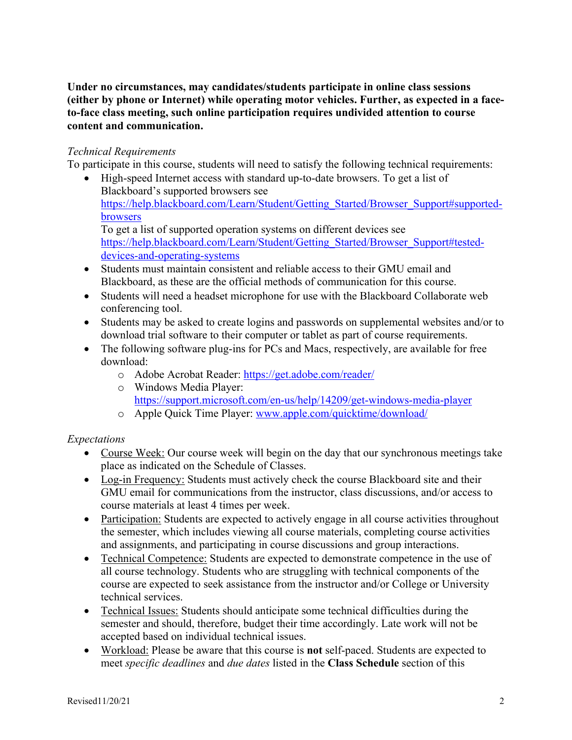**Under no circumstances, may candidates/students participate in online class sessions (either by phone or Internet) while operating motor vehicles. Further, as expected in a faceto-face class meeting, such online participation requires undivided attention to course content and communication.**

#### *Technical Requirements*

To participate in this course, students will need to satisfy the following technical requirements:

- High-speed Internet access with standard up-to-date browsers. To get a list of Blackboard's supported browsers see https://help.blackboard.com/Learn/Student/Getting\_Started/Browser\_Support#supportedbrowsers To get a list of supported operation systems on different devices see https://help.blackboard.com/Learn/Student/Getting\_Started/Browser\_Support#testeddevices-and-operating-systems
- Students must maintain consistent and reliable access to their GMU email and Blackboard, as these are the official methods of communication for this course.
- Students will need a headset microphone for use with the Blackboard Collaborate web conferencing tool.
- Students may be asked to create logins and passwords on supplemental websites and/or to download trial software to their computer or tablet as part of course requirements.
- The following software plug-ins for PCs and Macs, respectively, are available for free download:
	- o Adobe Acrobat Reader: https://get.adobe.com/reader/
	- o Windows Media Player: https://support.microsoft.com/en-us/help/14209/get-windows-media-player
	- o Apple Quick Time Player: www.apple.com/quicktime/download/

### *Expectations*

- Course Week: Our course week will begin on the day that our synchronous meetings take place as indicated on the Schedule of Classes.
- Log-in Frequency: Students must actively check the course Blackboard site and their GMU email for communications from the instructor, class discussions, and/or access to course materials at least 4 times per week.
- Participation: Students are expected to actively engage in all course activities throughout the semester, which includes viewing all course materials, completing course activities and assignments, and participating in course discussions and group interactions.
- Technical Competence: Students are expected to demonstrate competence in the use of all course technology. Students who are struggling with technical components of the course are expected to seek assistance from the instructor and/or College or University technical services.
- Technical Issues: Students should anticipate some technical difficulties during the semester and should, therefore, budget their time accordingly. Late work will not be accepted based on individual technical issues.
- Workload: Please be aware that this course is **not** self-paced. Students are expected to meet *specific deadlines* and *due dates* listed in the **Class Schedule** section of this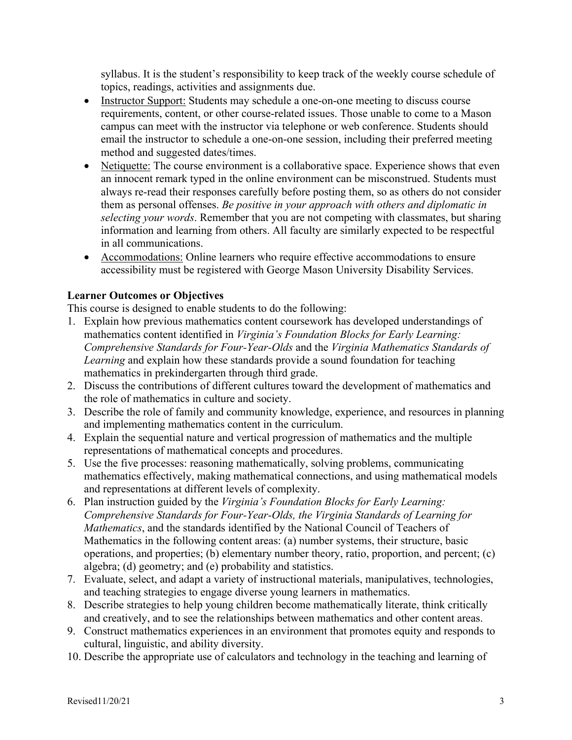syllabus. It is the student's responsibility to keep track of the weekly course schedule of topics, readings, activities and assignments due.

- Instructor Support: Students may schedule a one-on-one meeting to discuss course requirements, content, or other course-related issues. Those unable to come to a Mason campus can meet with the instructor via telephone or web conference. Students should email the instructor to schedule a one-on-one session, including their preferred meeting method and suggested dates/times.
- Netiquette: The course environment is a collaborative space. Experience shows that even an innocent remark typed in the online environment can be misconstrued. Students must always re-read their responses carefully before posting them, so as others do not consider them as personal offenses. *Be positive in your approach with others and diplomatic in selecting your words*. Remember that you are not competing with classmates, but sharing information and learning from others. All faculty are similarly expected to be respectful in all communications.
- Accommodations: Online learners who require effective accommodations to ensure accessibility must be registered with George Mason University Disability Services.

### **Learner Outcomes or Objectives**

This course is designed to enable students to do the following:

- 1. Explain how previous mathematics content coursework has developed understandings of mathematics content identified in *Virginia's Foundation Blocks for Early Learning: Comprehensive Standards for Four-Year-Olds* and the *Virginia Mathematics Standards of Learning* and explain how these standards provide a sound foundation for teaching mathematics in prekindergarten through third grade.
- 2. Discuss the contributions of different cultures toward the development of mathematics and the role of mathematics in culture and society.
- 3. Describe the role of family and community knowledge, experience, and resources in planning and implementing mathematics content in the curriculum.
- 4. Explain the sequential nature and vertical progression of mathematics and the multiple representations of mathematical concepts and procedures.
- 5. Use the five processes: reasoning mathematically, solving problems, communicating mathematics effectively, making mathematical connections, and using mathematical models and representations at different levels of complexity.
- 6. Plan instruction guided by the *Virginia's Foundation Blocks for Early Learning: Comprehensive Standards for Four-Year-Olds, the Virginia Standards of Learning for Mathematics*, and the standards identified by the National Council of Teachers of Mathematics in the following content areas: (a) number systems, their structure, basic operations, and properties; (b) elementary number theory, ratio, proportion, and percent; (c) algebra; (d) geometry; and (e) probability and statistics.
- 7. Evaluate, select, and adapt a variety of instructional materials, manipulatives, technologies, and teaching strategies to engage diverse young learners in mathematics.
- 8. Describe strategies to help young children become mathematically literate, think critically and creatively, and to see the relationships between mathematics and other content areas.
- 9. Construct mathematics experiences in an environment that promotes equity and responds to cultural, linguistic, and ability diversity.
- 10. Describe the appropriate use of calculators and technology in the teaching and learning of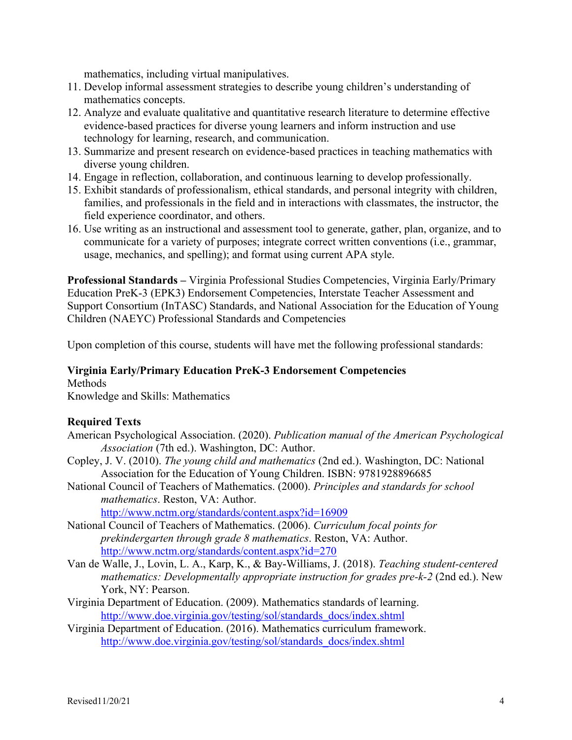mathematics, including virtual manipulatives.

- 11. Develop informal assessment strategies to describe young children's understanding of mathematics concepts.
- 12. Analyze and evaluate qualitative and quantitative research literature to determine effective evidence-based practices for diverse young learners and inform instruction and use technology for learning, research, and communication.
- 13. Summarize and present research on evidence-based practices in teaching mathematics with diverse young children.
- 14. Engage in reflection, collaboration, and continuous learning to develop professionally.
- 15. Exhibit standards of professionalism, ethical standards, and personal integrity with children, families, and professionals in the field and in interactions with classmates, the instructor, the field experience coordinator, and others.
- 16. Use writing as an instructional and assessment tool to generate, gather, plan, organize, and to communicate for a variety of purposes; integrate correct written conventions (i.e., grammar, usage, mechanics, and spelling); and format using current APA style.

**Professional Standards –** Virginia Professional Studies Competencies, Virginia Early/Primary Education PreK-3 (EPK3) Endorsement Competencies, Interstate Teacher Assessment and Support Consortium (InTASC) Standards, and National Association for the Education of Young Children (NAEYC) Professional Standards and Competencies

Upon completion of this course, students will have met the following professional standards:

### **Virginia Early/Primary Education PreK-3 Endorsement Competencies**

#### Methods

Knowledge and Skills: Mathematics

### **Required Texts**

- American Psychological Association. (2020). *Publication manual of the American Psychological Association* (7th ed.). Washington, DC: Author.
- Copley, J. V. (2010). *The young child and mathematics* (2nd ed.). Washington, DC: National Association for the Education of Young Children. ISBN: 9781928896685
- National Council of Teachers of Mathematics. (2000). *Principles and standards for school mathematics*. Reston, VA: Author. http://www.nctm.org/standards/content.aspx?id=16909
- National Council of Teachers of Mathematics. (2006). *Curriculum focal points for prekindergarten through grade 8 mathematics*. Reston, VA: Author. http://www.nctm.org/standards/content.aspx?id=270
- Van de Walle, J., Lovin, L. A., Karp, K., & Bay-Williams, J. (2018). *Teaching student-centered mathematics: Developmentally appropriate instruction for grades pre-k-2* (2nd ed.). New York, NY: Pearson.
- Virginia Department of Education. (2009). Mathematics standards of learning. http://www.doe.virginia.gov/testing/sol/standards\_docs/index.shtml
- Virginia Department of Education. (2016). Mathematics curriculum framework. http://www.doe.virginia.gov/testing/sol/standards\_docs/index.shtml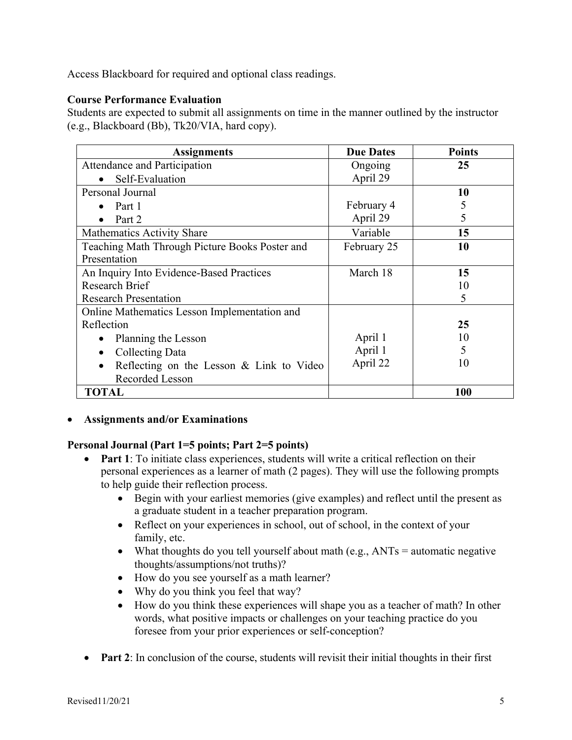Access Blackboard for required and optional class readings.

### **Course Performance Evaluation**

Students are expected to submit all assignments on time in the manner outlined by the instructor (e.g., Blackboard (Bb), Tk20/VIA, hard copy).

| <b>Assignments</b>                             | <b>Due Dates</b> | <b>Points</b> |
|------------------------------------------------|------------------|---------------|
| Attendance and Participation                   | Ongoing          | 25            |
| Self-Evaluation<br>$\bullet$                   | April 29         |               |
| Personal Journal                               |                  | 10            |
| Part 1<br>$\bullet$                            | February 4       | 5             |
| Part 2<br>$\bullet$                            | April 29         | 5             |
| <b>Mathematics Activity Share</b>              | Variable         | 15            |
| Teaching Math Through Picture Books Poster and | February 25      | 10            |
| Presentation                                   |                  |               |
| An Inquiry Into Evidence-Based Practices       | March 18         | 15            |
| <b>Research Brief</b>                          |                  | 10            |
| <b>Research Presentation</b>                   |                  | 5             |
| Online Mathematics Lesson Implementation and   |                  |               |
| Reflection                                     |                  | 25            |
| Planning the Lesson                            | April 1          | 10            |
| Collecting Data<br>٠                           | April 1          | 5             |
| Reflecting on the Lesson & Link to Video       | April 22         | 10            |
| Recorded Lesson                                |                  |               |
| TOTAL                                          |                  | 100           |

• **Assignments and/or Examinations**

### **Personal Journal (Part 1=5 points; Part 2=5 points)**

- **Part 1**: To initiate class experiences, students will write a critical reflection on their personal experiences as a learner of math (2 pages). They will use the following prompts to help guide their reflection process.
	- Begin with your earliest memories (give examples) and reflect until the present as a graduate student in a teacher preparation program.
	- Reflect on your experiences in school, out of school, in the context of your family, etc.
	- What thoughts do you tell yourself about math (e.g.,  $ANTs =$  automatic negative thoughts/assumptions/not truths)?
	- How do you see yourself as a math learner?
	- Why do you think you feel that way?
	- How do you think these experiences will shape you as a teacher of math? In other words, what positive impacts or challenges on your teaching practice do you foresee from your prior experiences or self-conception?
- **Part 2**: In conclusion of the course, students will revisit their initial thoughts in their first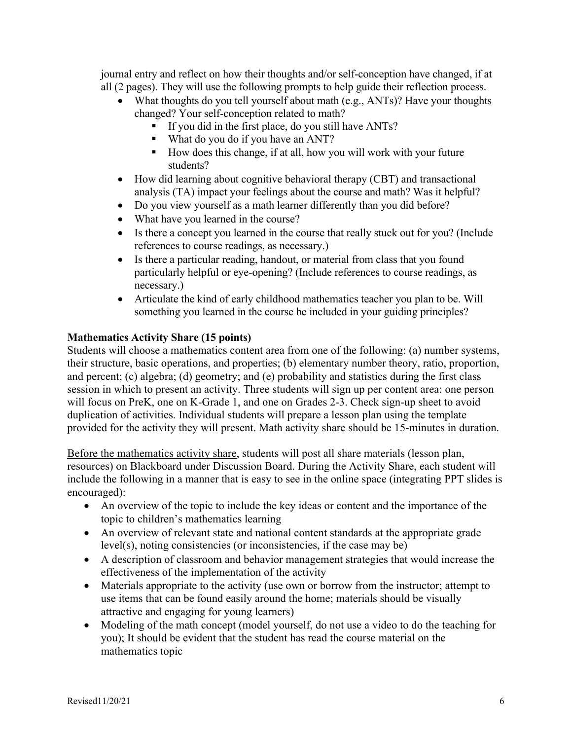journal entry and reflect on how their thoughts and/or self-conception have changed, if at all (2 pages). They will use the following prompts to help guide their reflection process.

- What thoughts do you tell yourself about math (e.g., ANTs)? Have your thoughts changed? Your self-conception related to math?
	- § If you did in the first place, do you still have ANTs?
	- What do you do if you have an ANT?
	- How does this change, if at all, how you will work with your future students?
- How did learning about cognitive behavioral therapy (CBT) and transactional analysis (TA) impact your feelings about the course and math? Was it helpful?
- Do you view yourself as a math learner differently than you did before?
- What have you learned in the course?
- Is there a concept you learned in the course that really stuck out for you? (Include references to course readings, as necessary.)
- Is there a particular reading, handout, or material from class that you found particularly helpful or eye-opening? (Include references to course readings, as necessary.)
- Articulate the kind of early childhood mathematics teacher you plan to be. Will something you learned in the course be included in your guiding principles?

## **Mathematics Activity Share (15 points)**

Students will choose a mathematics content area from one of the following: (a) number systems, their structure, basic operations, and properties; (b) elementary number theory, ratio, proportion, and percent; (c) algebra; (d) geometry; and (e) probability and statistics during the first class session in which to present an activity. Three students will sign up per content area: one person will focus on PreK, one on K-Grade 1, and one on Grades 2-3. Check sign-up sheet to avoid duplication of activities. Individual students will prepare a lesson plan using the template provided for the activity they will present. Math activity share should be 15-minutes in duration.

Before the mathematics activity share, students will post all share materials (lesson plan, resources) on Blackboard under Discussion Board. During the Activity Share, each student will include the following in a manner that is easy to see in the online space (integrating PPT slides is encouraged):

- An overview of the topic to include the key ideas or content and the importance of the topic to children's mathematics learning
- An overview of relevant state and national content standards at the appropriate grade level(s), noting consistencies (or inconsistencies, if the case may be)
- A description of classroom and behavior management strategies that would increase the effectiveness of the implementation of the activity
- Materials appropriate to the activity (use own or borrow from the instructor; attempt to use items that can be found easily around the home; materials should be visually attractive and engaging for young learners)
- Modeling of the math concept (model yourself, do not use a video to do the teaching for you); It should be evident that the student has read the course material on the mathematics topic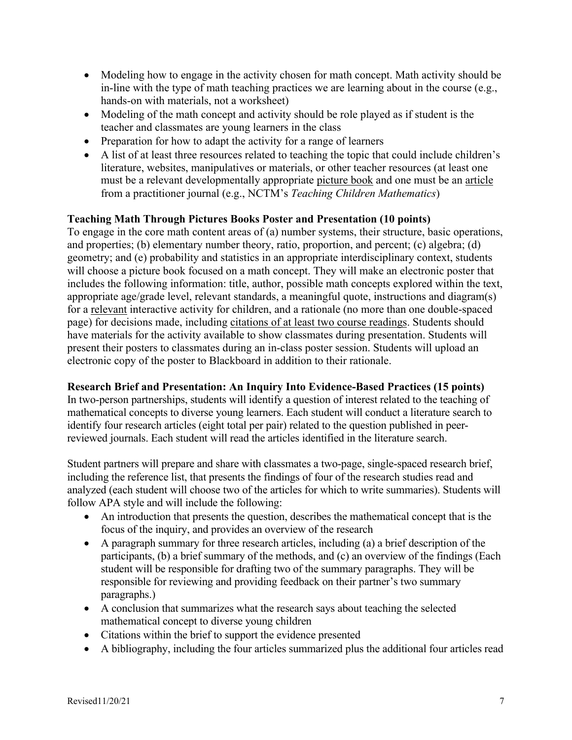- Modeling how to engage in the activity chosen for math concept. Math activity should be in-line with the type of math teaching practices we are learning about in the course (e.g., hands-on with materials, not a worksheet)
- Modeling of the math concept and activity should be role played as if student is the teacher and classmates are young learners in the class
- Preparation for how to adapt the activity for a range of learners
- A list of at least three resources related to teaching the topic that could include children's literature, websites, manipulatives or materials, or other teacher resources (at least one must be a relevant developmentally appropriate picture book and one must be an article from a practitioner journal (e.g., NCTM's *Teaching Children Mathematics*)

### **Teaching Math Through Pictures Books Poster and Presentation (10 points)**

To engage in the core math content areas of (a) number systems, their structure, basic operations, and properties; (b) elementary number theory, ratio, proportion, and percent; (c) algebra; (d) geometry; and (e) probability and statistics in an appropriate interdisciplinary context, students will choose a picture book focused on a math concept. They will make an electronic poster that includes the following information: title, author, possible math concepts explored within the text, appropriate age/grade level, relevant standards, a meaningful quote, instructions and diagram(s) for a relevant interactive activity for children, and a rationale (no more than one double-spaced page) for decisions made, including citations of at least two course readings. Students should have materials for the activity available to show classmates during presentation. Students will present their posters to classmates during an in-class poster session. Students will upload an electronic copy of the poster to Blackboard in addition to their rationale.

### **Research Brief and Presentation: An Inquiry Into Evidence-Based Practices (15 points)**

In two-person partnerships, students will identify a question of interest related to the teaching of mathematical concepts to diverse young learners. Each student will conduct a literature search to identify four research articles (eight total per pair) related to the question published in peerreviewed journals. Each student will read the articles identified in the literature search.

Student partners will prepare and share with classmates a two-page, single-spaced research brief, including the reference list, that presents the findings of four of the research studies read and analyzed (each student will choose two of the articles for which to write summaries). Students will follow APA style and will include the following:

- An introduction that presents the question, describes the mathematical concept that is the focus of the inquiry, and provides an overview of the research
- A paragraph summary for three research articles, including (a) a brief description of the participants, (b) a brief summary of the methods, and (c) an overview of the findings (Each student will be responsible for drafting two of the summary paragraphs. They will be responsible for reviewing and providing feedback on their partner's two summary paragraphs.)
- A conclusion that summarizes what the research says about teaching the selected mathematical concept to diverse young children
- Citations within the brief to support the evidence presented
- A bibliography, including the four articles summarized plus the additional four articles read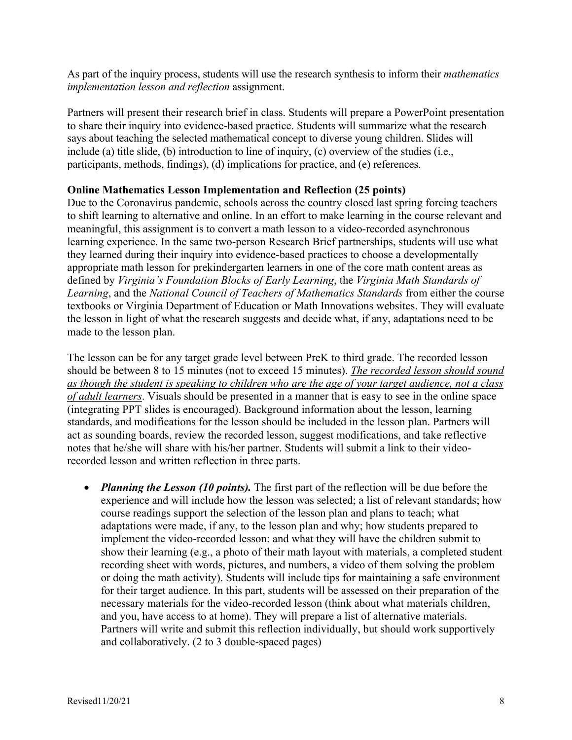As part of the inquiry process, students will use the research synthesis to inform their *mathematics implementation lesson and reflection* assignment.

Partners will present their research brief in class. Students will prepare a PowerPoint presentation to share their inquiry into evidence-based practice. Students will summarize what the research says about teaching the selected mathematical concept to diverse young children. Slides will include (a) title slide, (b) introduction to line of inquiry, (c) overview of the studies (i.e., participants, methods, findings), (d) implications for practice, and (e) references.

#### **Online Mathematics Lesson Implementation and Reflection (25 points)**

Due to the Coronavirus pandemic, schools across the country closed last spring forcing teachers to shift learning to alternative and online. In an effort to make learning in the course relevant and meaningful, this assignment is to convert a math lesson to a video-recorded asynchronous learning experience. In the same two-person Research Brief partnerships, students will use what they learned during their inquiry into evidence-based practices to choose a developmentally appropriate math lesson for prekindergarten learners in one of the core math content areas as defined by *Virginia's Foundation Blocks of Early Learning*, the *Virginia Math Standards of Learning*, and the *National Council of Teachers of Mathematics Standards* from either the course textbooks or Virginia Department of Education or Math Innovations websites. They will evaluate the lesson in light of what the research suggests and decide what, if any, adaptations need to be made to the lesson plan.

The lesson can be for any target grade level between PreK to third grade. The recorded lesson should be between 8 to 15 minutes (not to exceed 15 minutes). *The recorded lesson should sound as though the student is speaking to children who are the age of your target audience, not a class of adult learners*. Visuals should be presented in a manner that is easy to see in the online space (integrating PPT slides is encouraged). Background information about the lesson, learning standards, and modifications for the lesson should be included in the lesson plan. Partners will act as sounding boards, review the recorded lesson, suggest modifications, and take reflective notes that he/she will share with his/her partner. Students will submit a link to their videorecorded lesson and written reflection in three parts.

• *Planning the Lesson (10 points)*. The first part of the reflection will be due before the experience and will include how the lesson was selected; a list of relevant standards; how course readings support the selection of the lesson plan and plans to teach; what adaptations were made, if any, to the lesson plan and why; how students prepared to implement the video-recorded lesson: and what they will have the children submit to show their learning (e.g., a photo of their math layout with materials, a completed student recording sheet with words, pictures, and numbers, a video of them solving the problem or doing the math activity). Students will include tips for maintaining a safe environment for their target audience. In this part, students will be assessed on their preparation of the necessary materials for the video-recorded lesson (think about what materials children, and you, have access to at home). They will prepare a list of alternative materials. Partners will write and submit this reflection individually, but should work supportively and collaboratively. (2 to 3 double-spaced pages)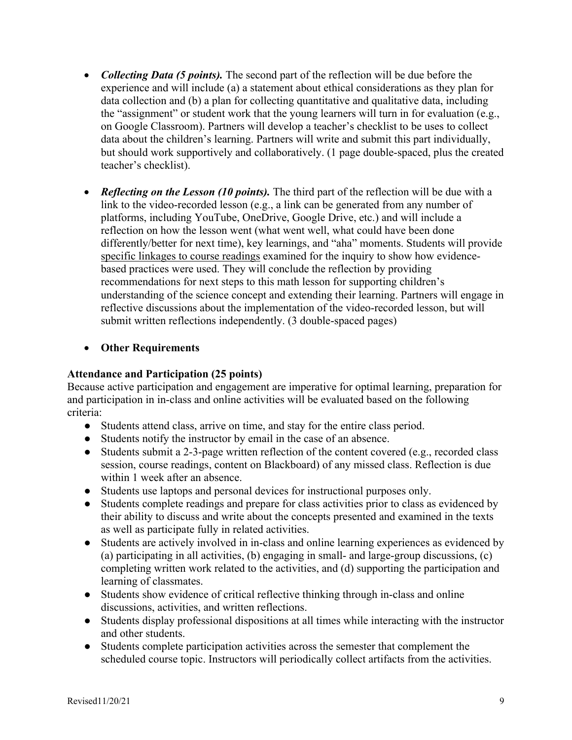- *Collecting Data (5 points)*. The second part of the reflection will be due before the experience and will include (a) a statement about ethical considerations as they plan for data collection and (b) a plan for collecting quantitative and qualitative data, including the "assignment" or student work that the young learners will turn in for evaluation (e.g., on Google Classroom). Partners will develop a teacher's checklist to be uses to collect data about the children's learning. Partners will write and submit this part individually, but should work supportively and collaboratively. (1 page double-spaced, plus the created teacher's checklist).
- *Reflecting on the Lesson (10 points)*. The third part of the reflection will be due with a link to the video-recorded lesson (e.g., a link can be generated from any number of platforms, including YouTube, OneDrive, Google Drive, etc.) and will include a reflection on how the lesson went (what went well, what could have been done differently/better for next time), key learnings, and "aha" moments. Students will provide specific linkages to course readings examined for the inquiry to show how evidencebased practices were used. They will conclude the reflection by providing recommendations for next steps to this math lesson for supporting children's understanding of the science concept and extending their learning. Partners will engage in reflective discussions about the implementation of the video-recorded lesson, but will submit written reflections independently. (3 double-spaced pages)

### • **Other Requirements**

#### **Attendance and Participation (25 points)**

Because active participation and engagement are imperative for optimal learning, preparation for and participation in in-class and online activities will be evaluated based on the following criteria:

- Students attend class, arrive on time, and stay for the entire class period.
- Students notify the instructor by email in the case of an absence.
- Students submit a 2-3-page written reflection of the content covered (e.g., recorded class session, course readings, content on Blackboard) of any missed class. Reflection is due within 1 week after an absence.
- Students use laptops and personal devices for instructional purposes only.
- Students complete readings and prepare for class activities prior to class as evidenced by their ability to discuss and write about the concepts presented and examined in the texts as well as participate fully in related activities.
- Students are actively involved in in-class and online learning experiences as evidenced by (a) participating in all activities, (b) engaging in small- and large-group discussions, (c) completing written work related to the activities, and (d) supporting the participation and learning of classmates.
- Students show evidence of critical reflective thinking through in-class and online discussions, activities, and written reflections.
- Students display professional dispositions at all times while interacting with the instructor and other students.
- Students complete participation activities across the semester that complement the scheduled course topic. Instructors will periodically collect artifacts from the activities.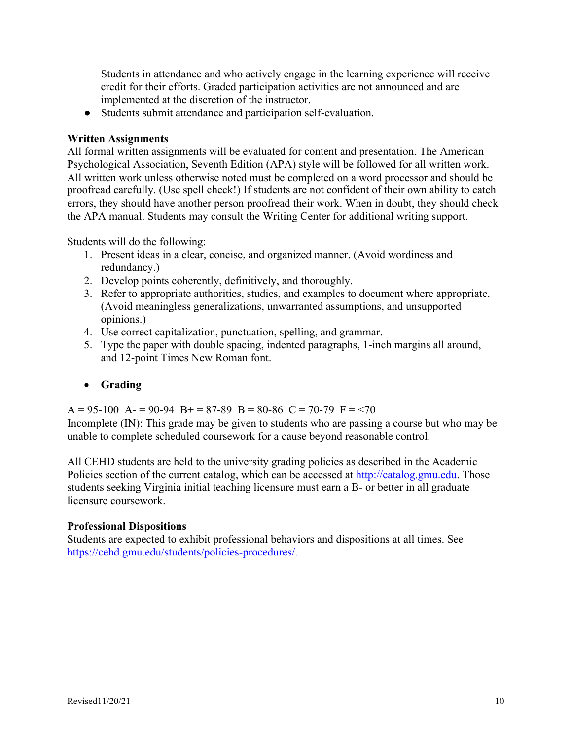Students in attendance and who actively engage in the learning experience will receive credit for their efforts. Graded participation activities are not announced and are implemented at the discretion of the instructor.

● Students submit attendance and participation self-evaluation.

## **Written Assignments**

All formal written assignments will be evaluated for content and presentation. The American Psychological Association, Seventh Edition (APA) style will be followed for all written work. All written work unless otherwise noted must be completed on a word processor and should be proofread carefully. (Use spell check!) If students are not confident of their own ability to catch errors, they should have another person proofread their work. When in doubt, they should check the APA manual. Students may consult the Writing Center for additional writing support.

Students will do the following:

- 1. Present ideas in a clear, concise, and organized manner. (Avoid wordiness and redundancy.)
- 2. Develop points coherently, definitively, and thoroughly.
- 3. Refer to appropriate authorities, studies, and examples to document where appropriate. (Avoid meaningless generalizations, unwarranted assumptions, and unsupported opinions.)
- 4. Use correct capitalization, punctuation, spelling, and grammar.
- 5. Type the paper with double spacing, indented paragraphs, 1-inch margins all around, and 12-point Times New Roman font.

# • **Grading**

 $A = 95-100$   $A = 90-94$   $B = 87-89$   $B = 80-86$   $C = 70-79$   $F = 70$ 

Incomplete (IN): This grade may be given to students who are passing a course but who may be unable to complete scheduled coursework for a cause beyond reasonable control.

All CEHD students are held to the university grading policies as described in the Academic Policies section of the current catalog, which can be accessed at http://catalog.gmu.edu. Those students seeking Virginia initial teaching licensure must earn a B- or better in all graduate licensure coursework.

# **Professional Dispositions**

Students are expected to exhibit professional behaviors and dispositions at all times. See https://cehd.gmu.edu/students/policies-procedures/.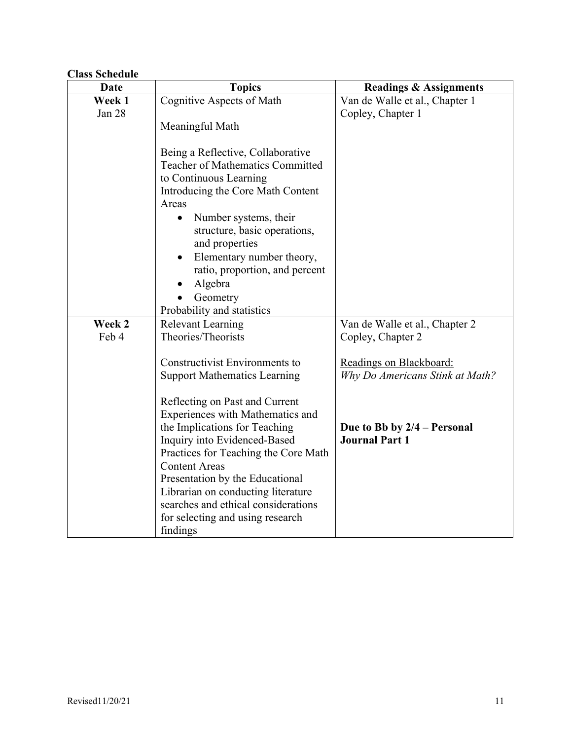# **Class Schedule**

| Date   | <b>Topics</b>                                               | <b>Readings &amp; Assignments</b> |
|--------|-------------------------------------------------------------|-----------------------------------|
| Week 1 | Cognitive Aspects of Math                                   | Van de Walle et al., Chapter 1    |
| Jan 28 |                                                             | Copley, Chapter 1                 |
|        | Meaningful Math                                             |                                   |
|        |                                                             |                                   |
|        | Being a Reflective, Collaborative                           |                                   |
|        | <b>Teacher of Mathematics Committed</b>                     |                                   |
|        | to Continuous Learning<br>Introducing the Core Math Content |                                   |
|        | Areas                                                       |                                   |
|        | Number systems, their                                       |                                   |
|        | structure, basic operations,                                |                                   |
|        | and properties                                              |                                   |
|        | Elementary number theory,                                   |                                   |
|        | ratio, proportion, and percent                              |                                   |
|        | Algebra                                                     |                                   |
|        | Geometry                                                    |                                   |
|        | Probability and statistics                                  |                                   |
| Week 2 | <b>Relevant Learning</b>                                    | Van de Walle et al., Chapter 2    |
| Feb 4  | Theories/Theorists                                          | Copley, Chapter 2                 |
|        |                                                             |                                   |
|        | Constructivist Environments to                              | Readings on Blackboard:           |
|        | <b>Support Mathematics Learning</b>                         | Why Do Americans Stink at Math?   |
|        | Reflecting on Past and Current                              |                                   |
|        | Experiences with Mathematics and                            |                                   |
|        | the Implications for Teaching                               | Due to Bb by $2/4$ – Personal     |
|        | Inquiry into Evidenced-Based                                | <b>Journal Part 1</b>             |
|        | Practices for Teaching the Core Math                        |                                   |
|        | <b>Content Areas</b>                                        |                                   |
|        | Presentation by the Educational                             |                                   |
|        | Librarian on conducting literature                          |                                   |
|        | searches and ethical considerations                         |                                   |
|        | for selecting and using research                            |                                   |
|        | findings                                                    |                                   |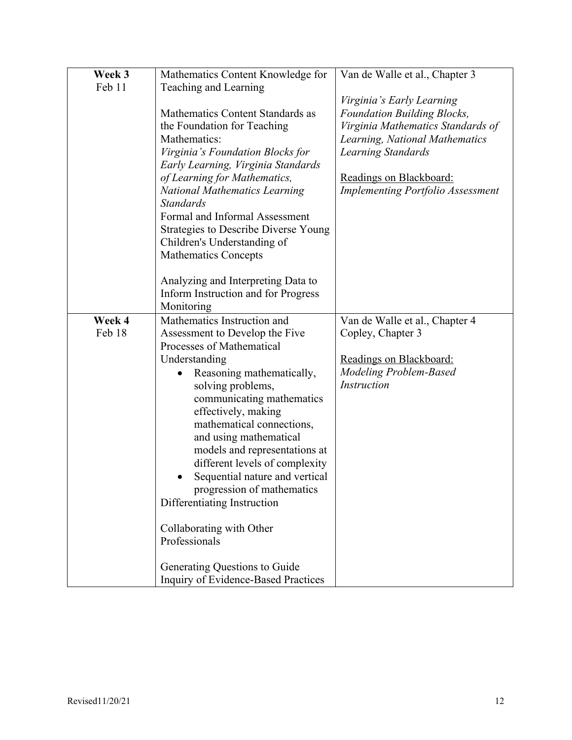| Week 3 | Mathematics Content Knowledge for           | Van de Walle et al., Chapter 3           |
|--------|---------------------------------------------|------------------------------------------|
| Feb 11 |                                             |                                          |
|        | Teaching and Learning                       |                                          |
|        |                                             | Virginia's Early Learning                |
|        | Mathematics Content Standards as            | <b>Foundation Building Blocks,</b>       |
|        | the Foundation for Teaching                 | Virginia Mathematics Standards of        |
|        | Mathematics:                                | Learning, National Mathematics           |
|        | Virginia's Foundation Blocks for            | <b>Learning Standards</b>                |
|        | Early Learning, Virginia Standards          |                                          |
|        | of Learning for Mathematics,                | Readings on Blackboard:                  |
|        | <b>National Mathematics Learning</b>        | <b>Implementing Portfolio Assessment</b> |
|        | <b>Standards</b>                            |                                          |
|        | Formal and Informal Assessment              |                                          |
|        | <b>Strategies to Describe Diverse Young</b> |                                          |
|        |                                             |                                          |
|        | Children's Understanding of                 |                                          |
|        | <b>Mathematics Concepts</b>                 |                                          |
|        |                                             |                                          |
|        | Analyzing and Interpreting Data to          |                                          |
|        | Inform Instruction and for Progress         |                                          |
|        | Monitoring                                  |                                          |
| Week 4 | Mathematics Instruction and                 | Van de Walle et al., Chapter 4           |
| Feb 18 | Assessment to Develop the Five              | Copley, Chapter 3                        |
|        | Processes of Mathematical                   |                                          |
|        | Understanding                               | Readings on Blackboard:                  |
|        | Reasoning mathematically,                   | <b>Modeling Problem-Based</b>            |
|        | solving problems,                           | <i>Instruction</i>                       |
|        | communicating mathematics                   |                                          |
|        | effectively, making                         |                                          |
|        | mathematical connections,                   |                                          |
|        | and using mathematical                      |                                          |
|        |                                             |                                          |
|        | models and representations at               |                                          |
|        | different levels of complexity              |                                          |
|        | Sequential nature and vertical              |                                          |
|        | progression of mathematics                  |                                          |
|        | Differentiating Instruction                 |                                          |
|        |                                             |                                          |
|        | Collaborating with Other                    |                                          |
|        | Professionals                               |                                          |
|        |                                             |                                          |
|        | Generating Questions to Guide               |                                          |
|        | Inquiry of Evidence-Based Practices         |                                          |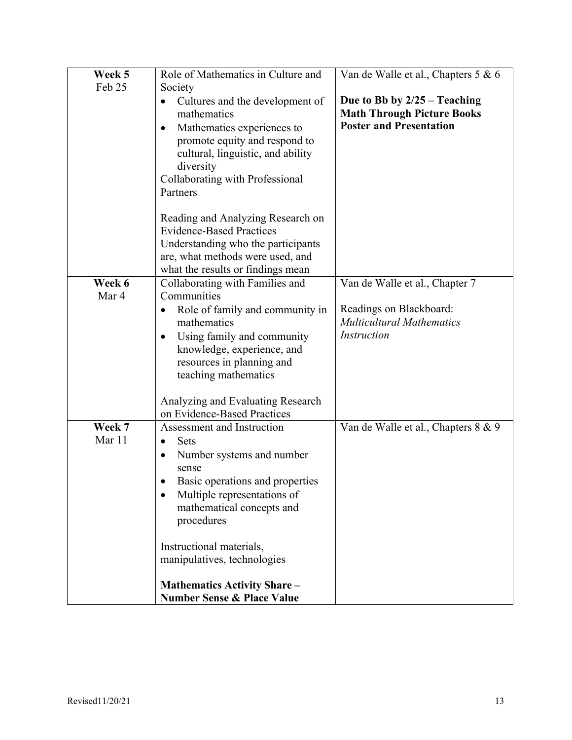| Week 5           | Role of Mathematics in Culture and                                                                                                                                                                                                                                                                                                                                | Van de Walle et al., Chapters 5 & 6                                                                   |
|------------------|-------------------------------------------------------------------------------------------------------------------------------------------------------------------------------------------------------------------------------------------------------------------------------------------------------------------------------------------------------------------|-------------------------------------------------------------------------------------------------------|
| Feb 25           | Society                                                                                                                                                                                                                                                                                                                                                           |                                                                                                       |
|                  | Cultures and the development of<br>$\bullet$<br>mathematics<br>Mathematics experiences to<br>$\bullet$<br>promote equity and respond to<br>cultural, linguistic, and ability<br>diversity<br>Collaborating with Professional<br>Partners                                                                                                                          | Due to Bb by $2/25 -$ Teaching<br><b>Math Through Picture Books</b><br><b>Poster and Presentation</b> |
|                  | Reading and Analyzing Research on<br><b>Evidence-Based Practices</b><br>Understanding who the participants<br>are, what methods were used, and<br>what the results or findings mean                                                                                                                                                                               |                                                                                                       |
| Week 6           | Collaborating with Families and                                                                                                                                                                                                                                                                                                                                   | Van de Walle et al., Chapter 7                                                                        |
| Mar 4            | Communities                                                                                                                                                                                                                                                                                                                                                       |                                                                                                       |
|                  | Role of family and community in<br>$\bullet$<br>mathematics<br>Using family and community<br>$\bullet$<br>knowledge, experience, and<br>resources in planning and<br>teaching mathematics                                                                                                                                                                         | Readings on Blackboard:<br><b>Multicultural Mathematics</b><br><b>Instruction</b>                     |
|                  | Analyzing and Evaluating Research<br>on Evidence-Based Practices                                                                                                                                                                                                                                                                                                  |                                                                                                       |
| Week 7<br>Mar 11 | Assessment and Instruction<br><b>Sets</b><br>$\bullet$<br>Number systems and number<br>$\bullet$<br>sense<br>Basic operations and properties<br>Multiple representations of<br>mathematical concepts and<br>procedures<br>Instructional materials,<br>manipulatives, technologies<br><b>Mathematics Activity Share -</b><br><b>Number Sense &amp; Place Value</b> | Van de Walle et al., Chapters 8 & 9                                                                   |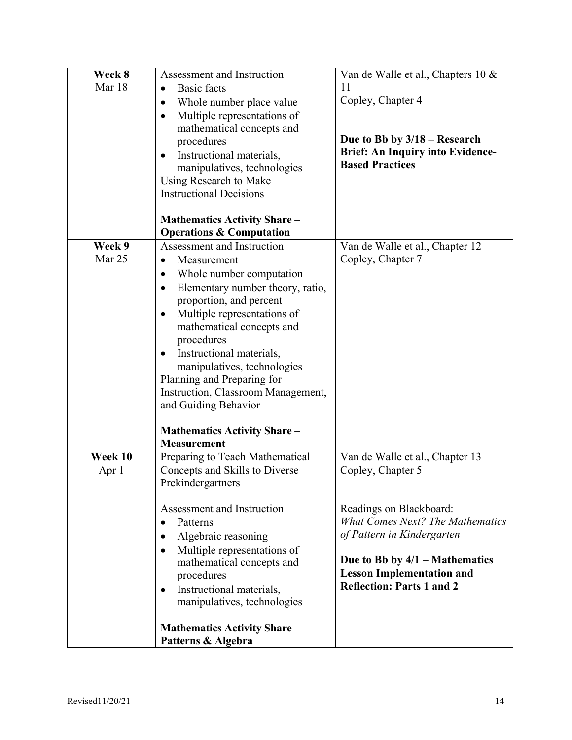| Week 8<br>Mar 18 | Assessment and Instruction<br><b>Basic</b> facts<br>$\bullet$<br>Whole number place value<br>$\bullet$<br>Multiple representations of<br>$\bullet$<br>mathematical concepts and<br>procedures<br>Instructional materials,<br>$\bullet$<br>manipulatives, technologies                                                                                                                                                                                                                                                                      | Van de Walle et al., Chapters 10 &<br>11<br>Copley, Chapter 4<br>Due to Bb by $3/18$ – Research<br><b>Brief: An Inquiry into Evidence-</b><br><b>Based Practices</b>                                                                                                 |
|------------------|--------------------------------------------------------------------------------------------------------------------------------------------------------------------------------------------------------------------------------------------------------------------------------------------------------------------------------------------------------------------------------------------------------------------------------------------------------------------------------------------------------------------------------------------|----------------------------------------------------------------------------------------------------------------------------------------------------------------------------------------------------------------------------------------------------------------------|
|                  | Using Research to Make<br><b>Instructional Decisions</b><br><b>Mathematics Activity Share –</b>                                                                                                                                                                                                                                                                                                                                                                                                                                            |                                                                                                                                                                                                                                                                      |
| Week 9<br>Mar 25 | <b>Operations &amp; Computation</b><br>Assessment and Instruction<br>Measurement<br>$\bullet$<br>Whole number computation<br>$\bullet$<br>Elementary number theory, ratio,<br>$\bullet$<br>proportion, and percent<br>Multiple representations of<br>$\bullet$<br>mathematical concepts and<br>procedures<br>Instructional materials,<br>$\bullet$<br>manipulatives, technologies<br>Planning and Preparing for<br>Instruction, Classroom Management,<br>and Guiding Behavior<br><b>Mathematics Activity Share -</b><br><b>Measurement</b> | Van de Walle et al., Chapter 12<br>Copley, Chapter 7                                                                                                                                                                                                                 |
| Week 10<br>Apr 1 | Preparing to Teach Mathematical<br>Concepts and Skills to Diverse<br>Prekindergartners<br>Assessment and Instruction<br>Patterns<br>$\bullet$<br>Algebraic reasoning<br>$\bullet$<br>Multiple representations of<br>$\bullet$<br>mathematical concepts and<br>procedures<br>Instructional materials,<br>$\bullet$<br>manipulatives, technologies<br><b>Mathematics Activity Share -</b>                                                                                                                                                    | Van de Walle et al., Chapter 13<br>Copley, Chapter 5<br>Readings on Blackboard:<br><b>What Comes Next? The Mathematics</b><br>of Pattern in Kindergarten<br>Due to Bb by $4/1$ – Mathematics<br><b>Lesson Implementation and</b><br><b>Reflection: Parts 1 and 2</b> |
|                  | Patterns & Algebra                                                                                                                                                                                                                                                                                                                                                                                                                                                                                                                         |                                                                                                                                                                                                                                                                      |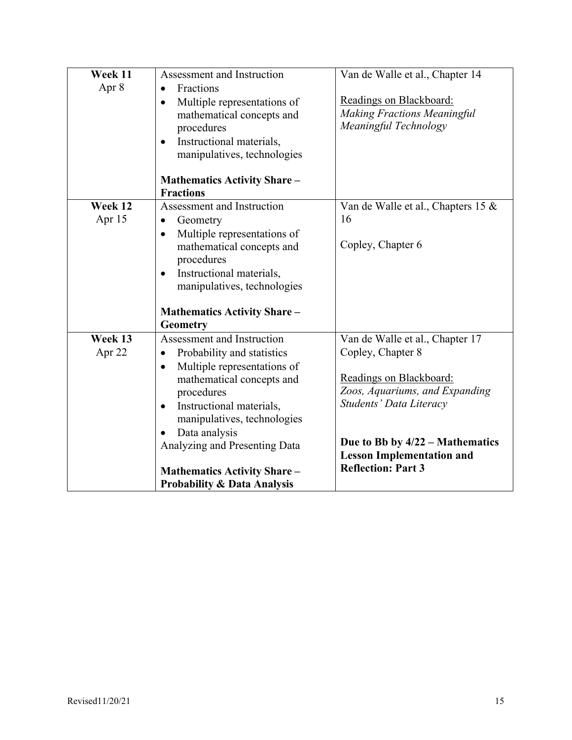| Week 11 | Assessment and Instruction               | Van de Walle et al., Chapter 14    |
|---------|------------------------------------------|------------------------------------|
| Apr 8   | Fractions<br>$\bullet$                   |                                    |
|         | Multiple representations of<br>$\bullet$ | Readings on Blackboard:            |
|         | mathematical concepts and                | <b>Making Fractions Meaningful</b> |
|         | procedures                               | Meaningful Technology              |
|         | Instructional materials,<br>$\bullet$    |                                    |
|         | manipulatives, technologies              |                                    |
|         |                                          |                                    |
|         | <b>Mathematics Activity Share -</b>      |                                    |
|         | <b>Fractions</b>                         |                                    |
| Week 12 | Assessment and Instruction               | Van de Walle et al., Chapters 15 & |
| Apr 15  | Geometry<br>$\bullet$                    | 16                                 |
|         | Multiple representations of<br>$\bullet$ |                                    |
|         | mathematical concepts and                | Copley, Chapter 6                  |
|         | procedures                               |                                    |
|         |                                          |                                    |
|         | Instructional materials,<br>$\bullet$    |                                    |
|         | manipulatives, technologies              |                                    |
|         |                                          |                                    |
|         | <b>Mathematics Activity Share -</b>      |                                    |
|         | <b>Geometry</b>                          |                                    |
| Week 13 | Assessment and Instruction               | Van de Walle et al., Chapter 17    |
| Apr 22  | Probability and statistics<br>۰          | Copley, Chapter 8                  |
|         | Multiple representations of<br>$\bullet$ |                                    |
|         | mathematical concepts and                | Readings on Blackboard:            |
|         | procedures                               | Zoos, Aquariums, and Expanding     |
|         | Instructional materials,<br>$\bullet$    | Students' Data Literacy            |
|         | manipulatives, technologies              |                                    |
|         |                                          |                                    |
|         | Data analysis<br>$\bullet$               | Due to Bb by $4/22$ – Mathematics  |
|         | Analyzing and Presenting Data            | <b>Lesson Implementation and</b>   |
|         |                                          | <b>Reflection: Part 3</b>          |
|         | <b>Mathematics Activity Share -</b>      |                                    |
|         | <b>Probability &amp; Data Analysis</b>   |                                    |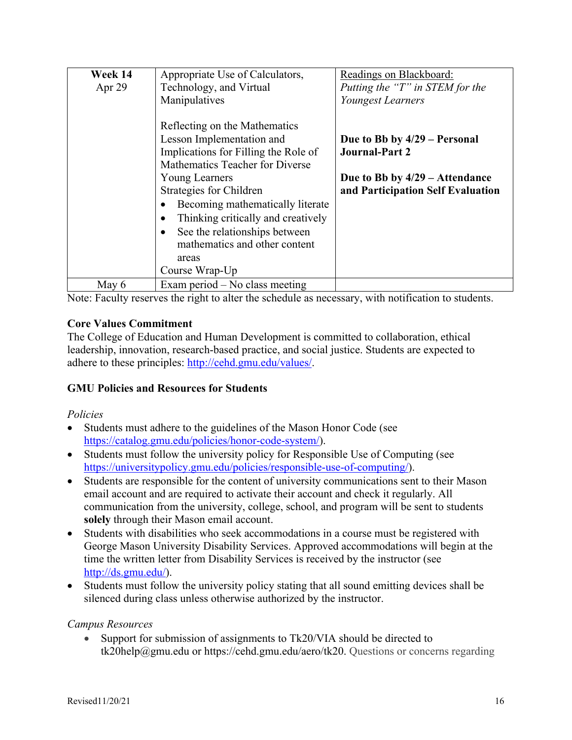| Week 14  | Appropriate Use of Calculators,                                                                                                                                                                                                                                                                                   | Readings on Blackboard:                                                                                                        |
|----------|-------------------------------------------------------------------------------------------------------------------------------------------------------------------------------------------------------------------------------------------------------------------------------------------------------------------|--------------------------------------------------------------------------------------------------------------------------------|
| Apr $29$ | Technology, and Virtual                                                                                                                                                                                                                                                                                           | Putting the "T" in STEM for the                                                                                                |
|          | Manipulatives                                                                                                                                                                                                                                                                                                     | Youngest Learners                                                                                                              |
|          | Reflecting on the Mathematics<br>Lesson Implementation and<br>Implications for Filling the Role of<br>Mathematics Teacher for Diverse<br><b>Young Learners</b><br>Strategies for Children<br>Becoming mathematically literate<br>Thinking critically and creatively<br>See the relationships between<br>$\bullet$ | Due to Bb by 4/29 – Personal<br><b>Journal-Part 2</b><br>Due to Bb by $4/29$ – Attendance<br>and Participation Self Evaluation |
|          | mathematics and other content                                                                                                                                                                                                                                                                                     |                                                                                                                                |
|          | areas                                                                                                                                                                                                                                                                                                             |                                                                                                                                |
|          | Course Wrap-Up                                                                                                                                                                                                                                                                                                    |                                                                                                                                |
| May 6    | Exam period $-$ No class meeting                                                                                                                                                                                                                                                                                  |                                                                                                                                |

Note: Faculty reserves the right to alter the schedule as necessary, with notification to students.

### **Core Values Commitment**

The College of Education and Human Development is committed to collaboration, ethical leadership, innovation, research-based practice, and social justice. Students are expected to adhere to these principles: http://cehd.gmu.edu/values/.

### **GMU Policies and Resources for Students**

### *Policies*

- Students must adhere to the guidelines of the Mason Honor Code (see https://catalog.gmu.edu/policies/honor-code-system/).
- Students must follow the university policy for Responsible Use of Computing (see https://universitypolicy.gmu.edu/policies/responsible-use-of-computing/).
- Students are responsible for the content of university communications sent to their Mason email account and are required to activate their account and check it regularly. All communication from the university, college, school, and program will be sent to students **solely** through their Mason email account.
- Students with disabilities who seek accommodations in a course must be registered with George Mason University Disability Services. Approved accommodations will begin at the time the written letter from Disability Services is received by the instructor (see http://ds.gmu.edu/).
- Students must follow the university policy stating that all sound emitting devices shall be silenced during class unless otherwise authorized by the instructor.

### *Campus Resources*

• Support for submission of assignments to Tk20/VIA should be directed to tk20help@gmu.edu or https://cehd.gmu.edu/aero/tk20. Questions or concerns regarding